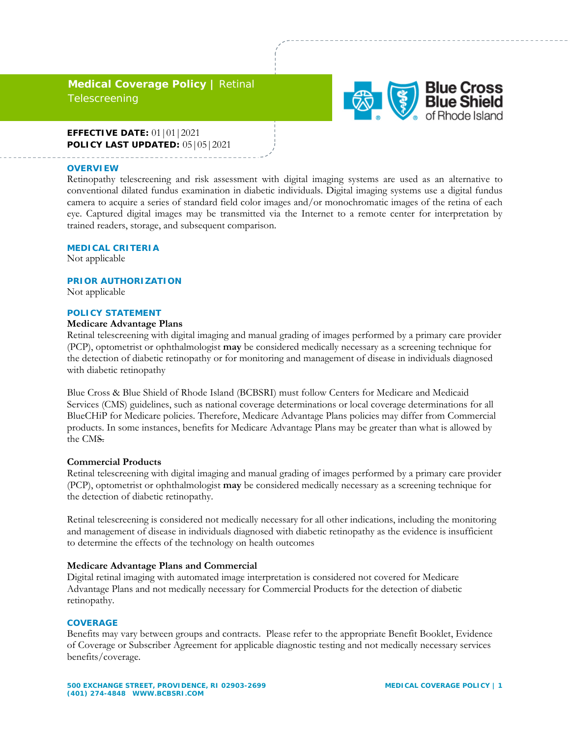# **Medical Coverage Policy |** Retinal **Telescreening**



### **EFFECTIVE DATE:** 01|01|2021 **POLICY LAST UPDATED:** 05|05|2021

#### **OVERVIEW**

Retinopathy telescreening and risk assessment with digital imaging systems are used as an alternative to conventional dilated fundus examination in diabetic individuals. Digital imaging systems use a digital fundus camera to acquire a series of standard field color images and/or monochromatic images of the retina of each eye. Captured digital images may be transmitted via the Internet to a remote center for interpretation by trained readers, storage, and subsequent comparison.

#### **MEDICAL CRITERIA**

Not applicable

#### **PRIOR AUTHORIZATION**

Not applicable

#### **POLICY STATEMENT**

#### **Medicare Advantage Plans**

Retinal telescreening with digital imaging and manual grading of images performed by a primary care provider (PCP), optometrist or ophthalmologist **may** be considered medically necessary as a screening technique for the detection of diabetic retinopathy or for monitoring and management of disease in individuals diagnosed with diabetic retinopathy

Blue Cross & Blue Shield of Rhode Island (BCBSRI) must follow Centers for Medicare and Medicaid Services (CMS) guidelines, such as national coverage determinations or local coverage determinations for all BlueCHiP for Medicare policies. Therefore, Medicare Advantage Plans policies may differ from Commercial products. In some instances, benefits for Medicare Advantage Plans may be greater than what is allowed by the CMS.

## **Commercial Products**

Retinal telescreening with digital imaging and manual grading of images performed by a primary care provider (PCP), optometrist or ophthalmologist **may** be considered medically necessary as a screening technique for the detection of diabetic retinopathy.

Retinal telescreening is considered not medically necessary for all other indications, including the monitoring and management of disease in individuals diagnosed with diabetic retinopathy as the evidence is insufficient to determine the effects of the technology on health outcomes

#### **Medicare Advantage Plans and Commercial**

Digital retinal imaging with automated image interpretation is considered not covered for Medicare Advantage Plans and not medically necessary for Commercial Products for the detection of diabetic retinopathy.

#### **COVERAGE**

Benefits may vary between groups and contracts. Please refer to the appropriate Benefit Booklet, Evidence of Coverage or Subscriber Agreement for applicable diagnostic testing and not medically necessary services benefits/coverage.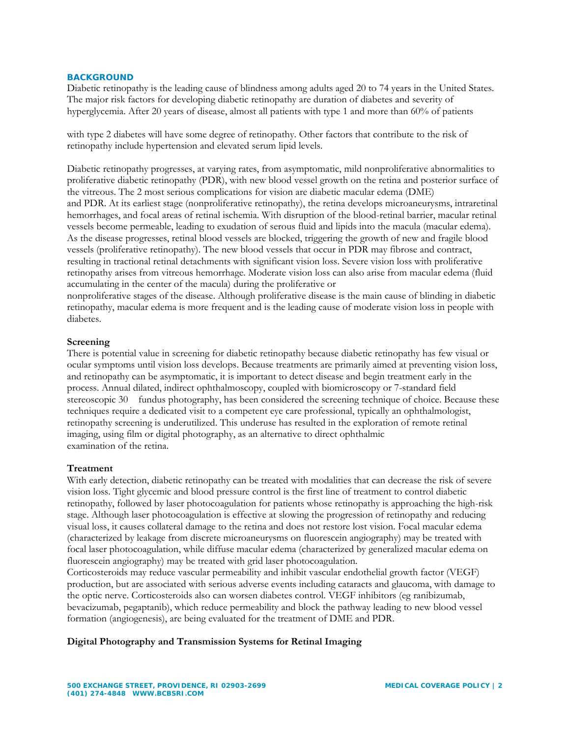### **BACKGROUND**

Diabetic retinopathy is the leading cause of blindness among adults aged 20 to 74 years in the United States. The major risk factors for developing diabetic retinopathy are duration of diabetes and severity of hyperglycemia. After 20 years of disease, almost all patients with type 1 and more than 60% of patients

with type 2 diabetes will have some degree of retinopathy. Other factors that contribute to the risk of retinopathy include hypertension and elevated serum lipid levels.

Diabetic retinopathy progresses, at varying rates, from asymptomatic, mild nonproliferative abnormalities to proliferative diabetic retinopathy (PDR), with new blood vessel growth on the retina and posterior surface of the vitreous. The 2 most serious complications for vision are diabetic macular edema (DME) and PDR. At its earliest stage (nonproliferative retinopathy), the retina develops microaneurysms, intraretinal hemorrhages, and focal areas of retinal ischemia. With disruption of the blood-retinal barrier, macular retinal vessels become permeable, leading to exudation of serous fluid and lipids into the macula (macular edema). As the disease progresses, retinal blood vessels are blocked, triggering the growth of new and fragile blood vessels (proliferative retinopathy). The new blood vessels that occur in PDR may fibrose and contract, resulting in tractional retinal detachments with significant vision loss. Severe vision loss with proliferative retinopathy arises from vitreous hemorrhage. Moderate vision loss can also arise from macular edema (fluid accumulating in the center of the macula) during the proliferative or

nonproliferative stages of the disease. Although proliferative disease is the main cause of blinding in diabetic retinopathy, macular edema is more frequent and is the leading cause of moderate vision loss in people with diabetes.

#### **Screening**

There is potential value in screening for diabetic retinopathy because diabetic retinopathy has few visual or ocular symptoms until vision loss develops. Because treatments are primarily aimed at preventing vision loss, and retinopathy can be asymptomatic, it is important to detect disease and begin treatment early in the process. Annual dilated, indirect ophthalmoscopy, coupled with biomicroscopy or 7-standard field stereoscopic 30 fundus photography, has been considered the screening technique of choice. Because these techniques require a dedicated visit to a competent eye care professional, typically an ophthalmologist, retinopathy screening is underutilized. This underuse has resulted in the exploration of remote retinal imaging, using film or digital photography, as an alternative to direct ophthalmic examination of the retina.

### **Treatment**

With early detection, diabetic retinopathy can be treated with modalities that can decrease the risk of severe vision loss. Tight glycemic and blood pressure control is the first line of treatment to control diabetic retinopathy, followed by laser photocoagulation for patients whose retinopathy is approaching the high-risk stage. Although laser photocoagulation is effective at slowing the progression of retinopathy and reducing visual loss, it causes collateral damage to the retina and does not restore lost vision. Focal macular edema (characterized by leakage from discrete microaneurysms on fluorescein angiography) may be treated with focal laser photocoagulation, while diffuse macular edema (characterized by generalized macular edema on fluorescein angiography) may be treated with grid laser photocoagulation.

Corticosteroids may reduce vascular permeability and inhibit vascular endothelial growth factor (VEGF) production, but are associated with serious adverse events including cataracts and glaucoma, with damage to the optic nerve. Corticosteroids also can worsen diabetes control. VEGF inhibitors (eg ranibizumab, bevacizumab, pegaptanib), which reduce permeability and block the pathway leading to new blood vessel formation (angiogenesis), are being evaluated for the treatment of DME and PDR.

**Digital Photography and Transmission Systems for Retinal Imaging**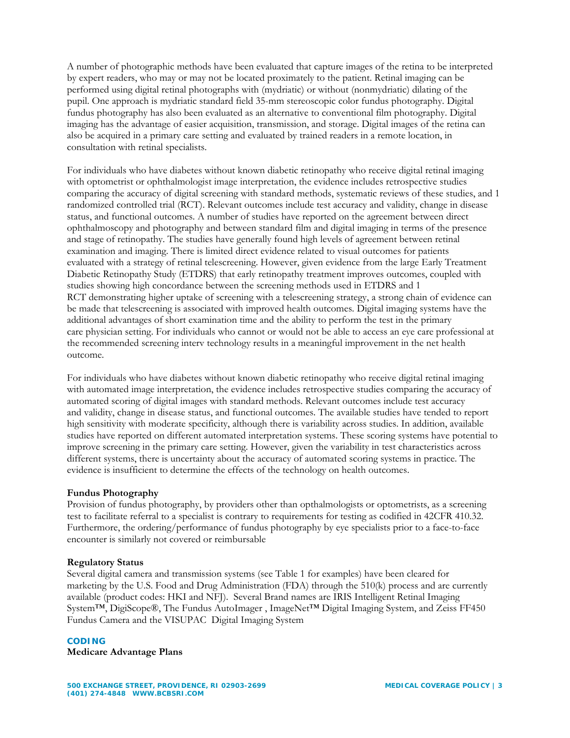A number of photographic methods have been evaluated that capture images of the retina to be interpreted by expert readers, who may or may not be located proximately to the patient. Retinal imaging can be performed using digital retinal photographs with (mydriatic) or without (nonmydriatic) dilating of the pupil. One approach is mydriatic standard field 35-mm stereoscopic color fundus photography. Digital fundus photography has also been evaluated as an alternative to conventional film photography. Digital imaging has the advantage of easier acquisition, transmission, and storage. Digital images of the retina can also be acquired in a primary care setting and evaluated by trained readers in a remote location, in consultation with retinal specialists.

For individuals who have diabetes without known diabetic retinopathy who receive digital retinal imaging with optometrist or ophthalmologist image interpretation, the evidence includes retrospective studies comparing the accuracy of digital screening with standard methods, systematic reviews of these studies, and 1 randomized controlled trial (RCT). Relevant outcomes include test accuracy and validity, change in disease status, and functional outcomes. A number of studies have reported on the agreement between direct ophthalmoscopy and photography and between standard film and digital imaging in terms of the presence and stage of retinopathy. The studies have generally found high levels of agreement between retinal examination and imaging. There is limited direct evidence related to visual outcomes for patients evaluated with a strategy of retinal telescreening. However, given evidence from the large Early Treatment Diabetic Retinopathy Study (ETDRS) that early retinopathy treatment improves outcomes, coupled with studies showing high concordance between the screening methods used in ETDRS and 1 RCT demonstrating higher uptake of screening with a telescreening strategy, a strong chain of evidence can be made that telescreening is associated with improved health outcomes. Digital imaging systems have the additional advantages of short examination time and the ability to perform the test in the primary care physician setting. For individuals who cannot or would not be able to access an eye care professional at the recommended screening interv technology results in a meaningful improvement in the net health outcome.

For individuals who have diabetes without known diabetic retinopathy who receive digital retinal imaging with automated image interpretation, the evidence includes retrospective studies comparing the accuracy of automated scoring of digital images with standard methods. Relevant outcomes include test accuracy and validity, change in disease status, and functional outcomes. The available studies have tended to report high sensitivity with moderate specificity, although there is variability across studies. In addition, available studies have reported on different automated interpretation systems. These scoring systems have potential to improve screening in the primary care setting. However, given the variability in test characteristics across different systems, there is uncertainty about the accuracy of automated scoring systems in practice. The evidence is insufficient to determine the effects of the technology on health outcomes.

### **Fundus Photography**

Provision of fundus photography, by providers other than opthalmologists or optometrists, as a screening test to facilitate referral to a specialist is contrary to requirements for testing as codified in 42CFR 410.32. Furthermore, the ordering/performance of fundus photography by eye specialists prior to a face-to-face encounter is similarly not covered or reimbursable

### **Regulatory Status**

Several digital camera and transmission systems (see Table 1 for examples) have been cleared for marketing by the U.S. Food and Drug Administration (FDA) through the 510(k) process and are currently available (product codes: HKI and NFJ). Several Brand names are IRIS Intelligent Retinal Imaging System™, DigiScope®, The Fundus AutoImager , ImageNet™ Digital Imaging System, and Zeiss FF450 Fundus Camera and the VISUPAC Digital Imaging System

### **CODING**

### **Medicare Advantage Plans**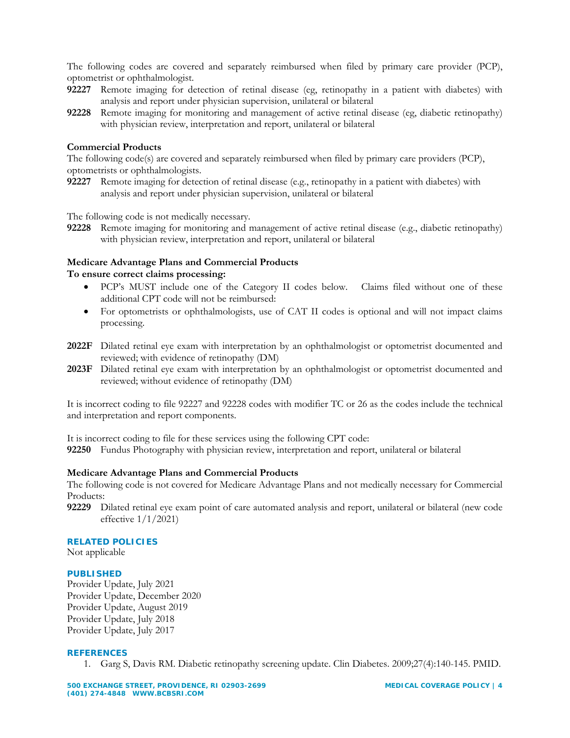The following codes are covered and separately reimbursed when filed by primary care provider (PCP), optometrist or ophthalmologist.

- **92227** Remote imaging for detection of retinal disease (eg, retinopathy in a patient with diabetes) with analysis and report under physician supervision, unilateral or bilateral
- **92228** Remote imaging for monitoring and management of active retinal disease (eg, diabetic retinopathy) with physician review, interpretation and report, unilateral or bilateral

### **Commercial Products**

The following code(s) are covered and separately reimbursed when filed by primary care providers (PCP), optometrists or ophthalmologists.

**92227** Remote imaging for detection of retinal disease (e.g., retinopathy in a patient with diabetes) with analysis and report under physician supervision, unilateral or bilateral

The following code is not medically necessary.

**92228** Remote imaging for monitoring and management of active retinal disease (e.g., diabetic retinopathy) with physician review, interpretation and report, unilateral or bilateral

### **Medicare Advantage Plans and Commercial Products To ensure correct claims processing:**

- PCP's MUST include one of the Category II codes below. Claims filed without one of these additional CPT code will not be reimbursed:
- For optometrists or ophthalmologists, use of CAT II codes is optional and will not impact claims processing.
- **2022F** Dilated retinal eye exam with interpretation by an ophthalmologist or optometrist documented and reviewed; with evidence of retinopathy (DM)
- **2023F** Dilated retinal eye exam with interpretation by an ophthalmologist or optometrist documented and reviewed; without evidence of retinopathy (DM)

It is incorrect coding to file 92227 and 92228 codes with modifier TC or 26 as the codes include the technical and interpretation and report components.

It is incorrect coding to file for these services using the following CPT code:

**92250** Fundus Photography with physician review, interpretation and report, unilateral or bilateral

### **Medicare Advantage Plans and Commercial Products**

The following code is not covered for Medicare Advantage Plans and not medically necessary for Commercial Products:

**92229** Dilated retinal eye exam point of care automated analysis and report, unilateral or bilateral (new code effective  $1/1/2021$ 

#### **RELATED POLICIES**

Not applicable

### **PUBLISHED**

Provider Update, July 2021 Provider Update, December 2020 Provider Update, August 2019 Provider Update, July 2018 Provider Update, July 2017

#### **REFERENCES**

1. Garg S, Davis RM. Diabetic retinopathy screening update. Clin Diabetes. 2009;27(4):140-145. PMID.